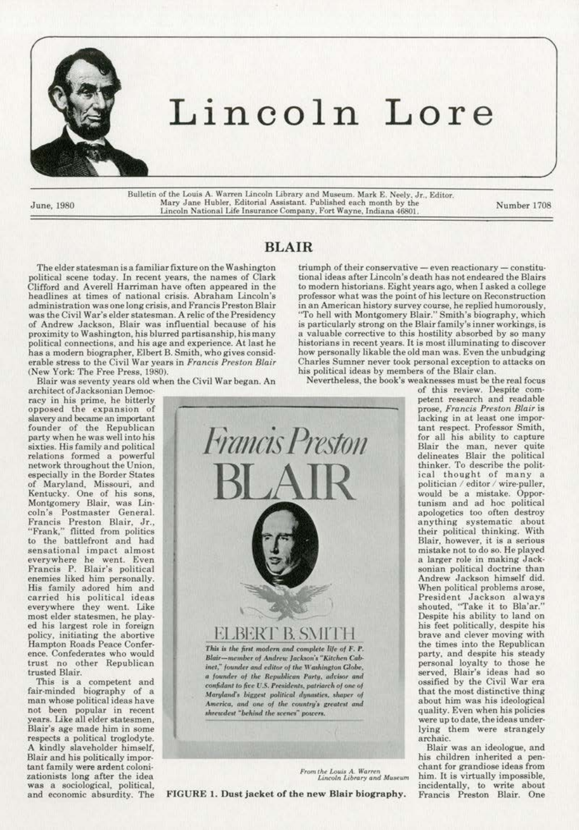

## Lincoln Lore

Bulletin of the Louis A. Warren Lincoln Library and Museum. Mark E. Neely. Jr., Editor.<br>Mary Jane Hubler, Editorial Assistant. Published each month by the Lincoln National Life lna:uranoeCompany, 1-"ort Wayne, Indiana 4680l. June, !980 Number 1708

BLAIR

## The elder statesman is a familiar fixture on the Washington political scene today. In recent years, the names of Clark Clifford and Averell Harriman have often appeared in the headlines at times of national crisis. Abraham Lincoln's administration was one long crisis, and Francis Preston Blair was the Civil War's elder statesman. A relic of the Presidency of Andrew Jackson, Blair was influential because of his proximity to Washington, his blurred partisanship, his many political connections, and his age and experience. At last he has a modern biographer, Elbert B. Smith, who gives consid· erable stress to the Civil War years in *Francis Preston Blair*  (New York: The Free Press, 1980).

Blair was seventy years old when the Civil War began. An

architect of Jacksonian Democracy in his prime, he bitterly opposed the expansion of slavery and became an important founder of the Republican party when he was well into his sixties. His family and political relations formed a powerful network throughout the Union, especially in the Border States of Maryland, Missouri, and Kentucky. One of his sons, Montgomery Blair, was Lin· coin's Postmaster General. Francis Preston Blair, Jr., "Frank." flitted from polities to the battlefront and had sensational impact almost everywhere he went. Even Francis P. Blair's political enemies liked him personally. His family adored him and carried his political ideas everywhere they went. Like most elder statesmen, he play· ed his largest role in foreign policy, initiating the abortive Hampton Roads Peace Confer· ence. Confederates who would trust no other Republican trusted Blair.

This is a competent and fair-minded biography of a man whose political ideas have not been popular in recent years. Like all elder statesmen, Blair's age made him in some respects a political troglodyte. A kindly slaveholder himself, Blair and his politically impor· tant family were ardent coloni· zationists long after the idea was a sociological, political, and economic absurdity. The tional ideas after Lincoln's death has not endeared the Blairs to modern historians. Eight years ago, when I asked a college professor what was the point of his lecture on Reconstruction in an American history survey course, he replied humorously. "To hell with Montgomery Blair." Smith's biography, which is particularly strong on the Blair family's inner workings, is a valuable corrective to this hostility absorbed by so many historians in recent years. It is most illuminating to discover how personally likable the old man was. Even the unbudging Charles Sumner never took personal exception to attacks on his political ideas by members of the Blair clan. Nevertheless, the book's weaknesses must be the real focus

 $trimph$  of their conservative - even reactionary - constitu-



FIGURE 1. Dust jacket of the new Blair biography.

of this review. Despite com· petent research and readable prose, *Francis Preston Blair* is lacking in at least one important respect. Professor Smith, for all his ability to capture Blair the man, never quite delineates Blair the political thinker. To describe the political thought of many a politician / editor / wire-puller, would be a mistake. Oppor· tunism and ad hoc political apologetics too often destroy anything systematic about their political thinking. With Blair. however, it is a serious mistake not to do so. He played a larger role in making Jack· sonian political doctrine than Andrew Jackson himself did. When political problems arose, President Jackson always shouted. "Take it to Bla'ar.'' Despite bis ability to land on his feet politically, despite his brave and clever moving with the times into the Republican party, and despite his steady personal loyalty to those he served, Blair's ideas had so ossified by the Civil War era that the most distinctive thing about him was his ideological quality. Even when his policies were up to date, the ideas under· lying them were strangely archaic.

Blair was an ideologue, and his children inherited a pen· From the Louis A, Warren chant for grandiose ideas from *Lincoln Library and Museum* him. It is virtually impossible, him. It is virtually impossible, incidentally. to write about Francis Preston Blair. One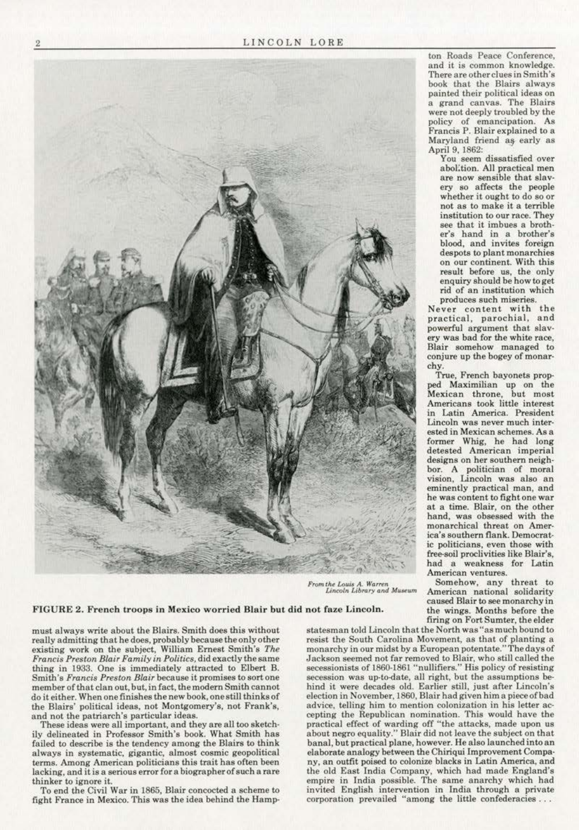

FIGURE 2. French troops in Mexico worried Blair but did not faze Lincoln.

must always write about the Blairs. Smith does this without really admitting that he does, probably because the only other existing work on the subject, William Ernest Smith's The *Francis Preston Blair FamUy in Politics,* **did exactly the same**  thing in 1933. One is immediately attracted to Elbert B. **Smith<sup>1</sup> s** *Francis Preston Blair* **because it promises to sort one**  member of that clan out, but, in fact, the modern Smith cannot do it either. When one finishes the new book, one still thinks of **the Blairs' political ideas, not Montgomery's, not Frank's,** 

These ideas were all important, and they are all too sketchily delineated in Professor Smith's book. What Smith has failed to describe is the tendency among the Blairs to think **always in systematic, gigantic, almost cosmic geopolitical**  terms. Among American politicians this trait has often been **lacking, and it is a serious error for a biographer of such a rare thinker to ignore it.** 

To end the Civil War in 1865, Blair concocted a scheme to fight France in Mexico. This was the idea behind the Hamp·

**ton Roads Peace Conference, and it is common knowledge. There are other clues in Smith's**  book that the Blairs always painted their political ideas on **a grand canvas. The Blairs**  were not deeply troubled by the **policy of emancipation. As**  Francis P. Blair explained to a Maryland friend as early as April 9, 1862:

**You seem dissatisfied over**  abol:tion. All practical men **are now sensible that slav·**  ery so affects the people whether it ought to do so or not as to make it a terrible **institution to our race. They**  see that it imbues a broth· **er's hand in a brother's**  blood, and invites foreign despots to plant monarchies **on our continent.. With this**  result before us, the only enquiry should be how to get **rid of an institution which produces such miseries.** 

**Never content with the practical, parochial, and**  ery was bad for the white race, **Blair somehow managed to**  conjure up the bogey of monar· chy.

True, French bayonets prop· ped Maximilian up on the **Mexican throne, but most Americans took Little interest**  in Latin America. President **Lincoln was never much inter· ested in Mexican schemes. As a** former Whig, he had long **detested American imperial designs on her southern neigh·**  bor. A politician of moral vision, Lincoln was also an **eminently practical man, and**  he was content to fight one war at a time. Blair, on the other hand, was obsessed with the **monarchical threat on Amer**ica's southern flank. Democrat**ic politicians, even those with**  free-soil proclivities like Blair's, had a weakness for Latin **American ventures.** 

**From the Louis A. Warren Somehow, any threat to** *Lincoln Library and Museum* **American** national solidarity *Lincoln J.ibrary ond !tfuHum* **American national solidarity**  caused Blair to see monarchy in the wings. Months before the firing on Fort Sumter, the elder

statesman told Lincoln that the North was "as much bound to resist the South Carolina Movement, as that of planting a **monarchy in our midst by a European potentate."1'hedaysof**  Jackson seemed not far removed to Blair. who still called the **secessionists of 1860-1861 "nullifiers." His policy of resisting**  secession was up-to-date, all right, but the assumptions be**hind it were decades old. Earlier stil1. just after Lincoln's election in November, 1860, Blair had given him a piece of bad**  advice, telling him to mention colonization in his letter accepting the Republican nomination. This would have the practical effect of warding off "the attacks, made upon us about negro equality." Blair did not leave the subject on that banal, but practical plane, however. He also launched into an elaborate analogy between the Chiriqui Improvement Company, an outfit poised to colonize blacks in Latin America, and the old East India Company, which had made England's empire in India possible. The same anarchy which had **invited English intervention in India through a private corporation prevailed "among the little confederacies** . ..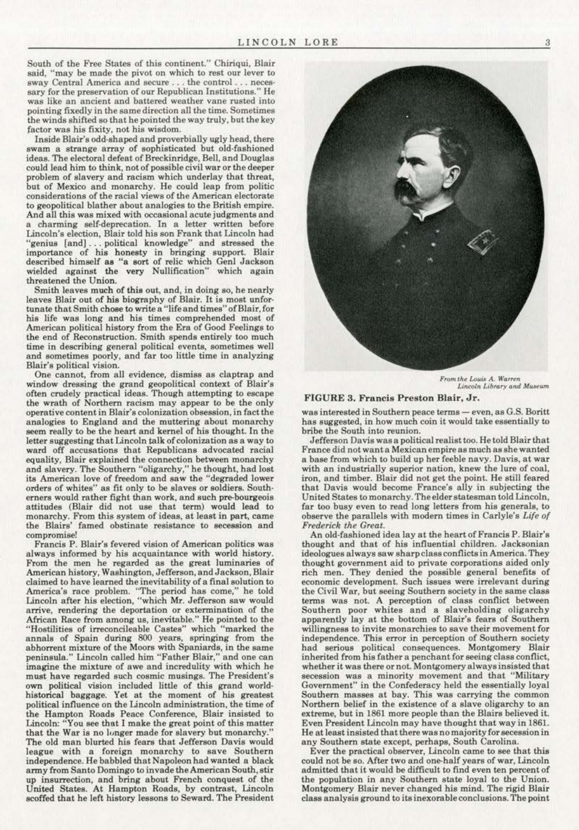South of the Free States of this continent." Chiriqui, Blair **said, "may be made the pivot on which to rest our lever to sway Central America and secure** ... **the control** ... **neces· sary for the preservation of our Republican Institutions." He**  was like an ancient and battered weather vane rusted into pointing fixedly in the same direction all the time. Sometimes the winds shifted so that he pointed the way truly, but the key **factor was his fixity, not his wisdom.** 

Inside Blair's odd-shaped and proverbially ugly head, there swam a strange array of sophisticated but old-fashioned ideas. The electoral defeat of Breckinridge, Bell, and Douglas could lead him to think, not of possible civil war or the deeper problem of slavery and racism wbich underlay that threat, but of Mexico and monarchy. He could leap from politic **considerations of the racial views of the American electorate**  And all this was mixed with occasional acute judgments and a charming self-deprecation. In a letter written before Lincoln's election, Blair told his son Frank that Lincoln bad "genius [and) . .. political knowledge" and stressed the importance of his honesty in bringing support. Blair described himself as "a sort of relic which Genl Jackson wielded against the very Nullification" which again threatened the Union.

**Smith leaves much of this out, and, in doing so, he nearly**  leaves Blair out of his biography of Blair. It is most unfortunate that Smith chose to write a "life and times" of Blair, for his life was long and his times comprehended most of American political history from the Era of Good Feelings to the end of Reconstruction. Smith spends entirely too much **time in describing general political events, sometimes well**  and sometimes poorly, and far too little time in analyzing Blair's political vision.

One cannot, from all evidence, dismiss as claptrap and window dressing the grand geopolitical context of Blair's often crudely practical ideas. Though attempting to escape the wrath of Northern racism may appear to be the only **operative content in Blair's colonization obsession, in fact the**  analogies to England and the muttering about monarchy seem really to be the heart and kernel of his thought. In the letter suggesting that Lincoln talk of colonization as a way to **ward off accusations that Republicans advocated racial equality, Blair explained the connection between monarchy**  and slavery. The Southern "oligarchy," he thought, had lost **its American love of freedom and saw the "degraded lower**  erners would rather fight than work, and such pre-bourgeois attitudes (Blair did not use that term) would lead to monarchy. From this system of ideas, at least in part, came **the Blairs' famed obstinate resistance to secession and compromise!** 

**Francis P. Blair's fevered vision of American politics was**  always informed by his acquaintance with world history. From the men he regarded as the great luminaries of **American history, Washington, Jefferson, and Jackson, Blair**  claimed to have learned the inevitability of a final solution to **America's race problem. "'The period has come," he told**  Lincoln after his election, "which Mr. Jefferson saw would arrive, rendering the deportation or extermination of the African Race from among us, inevitable." He pointed to the "Hostilities of irreconcileable Castes" which "marked the annals of Spain during 800 years, springing from the **abhorrent mixture of the Moors with Spaniards. in the same**  peninsula." Lincoln called him "Father Blair." and one can imagine the mixture of awe and incredulity with which he **must have regarded such cosmic musings. The President's**  own political vision included little of this grand worldhistorical baggage. Yet at the moment of his greatest **political influence on the Lincoln administration, the time of the Hampton Roads Peace Conference, Blair insisted to**  Lincoln: "You see that I make the great point of this matter that the War is no longer made for slavery but monarchy.' The old man blurted his fears that Jefferson Davis would league with a foreign monarchy to save Southern independence. He babbled that Napoleon had wanted a black army from Santo Domingo to invade the American South, stir up insurrection, and bring about French conquest of the United States. At Hampton Roads, by contrast, Lincoln scoffed that he left history lessons to Seward. The President



*From the Louis A. Warren* Lincoln Library and Museum

## FIGURE 3. Francis Preston Blair, Jr.

**was interested in Southern peace terms - even, as G.S. Boritt**  has suggested, in bow much coin it would take essentially to bribe the South into reunion.

Jefferson Davis was a political realisttoo. He told Blair that **France djd not want a Mexjcan empire as much as she wanted**  a base from which to build up her feeble navy. Davis, at war **with an industrially superior nation, knew the lure of coal.**  iron, and timber. Blair did not get the point. He still feared that Davis would become France's ally in subjecting the United States to monarchy. The elder statesman told Lincoln, far too busy even to read long letters from his generals, to observe the parallels with modern times in Carlyle's Life of *Frederick the Great.* 

An old-fashioned idea lay at the heart of Francis P. Blair's thought and that of his influential children. Jacksonian **ideologues always saw sharpclassconflictsin America. They thought government aid to private corporations aided only**  rich men. They denied the possible general benefits of **economic development. Such issues were irrelevant during the Civil War. but seeing Southern society in the same class terms was not. A perception of class conflict between**  Southern poor whites and a slaveholding oligarchy apparently lay at the bottom of Blair's fears of Southern **wi1Jingnesa to invite monarchies to save their movement for independence. This error in perception of Southern society had serious political consequences. Montgomery Blair inherited from his father a penchant for seeing class conflict, whether it was there or not. Montgomery always insisted that secession was a minority movement and that "Military**  Government" in the Confederacy held the essentially loyal **Southern masses at bay. This was carrying the common Northern belief in the existence of a slave oligarchy to an**  extreme, but in 1861 more people than the Blairs believed it. Even President Lincoln may have thought that way in 1861. He at least insisted that there was no majority for secession in

Ever the practical observer, Lincoln came to see that this could not be so. After two and one-half years of war, Lincoln admitted that it would be difficult to find even ten percent of<br>the population in any Southern state loyal to the Union. Montgomery Blair never changed his mind. The rigid Blair **class analysis ground to its inexorable conclusions. The point**